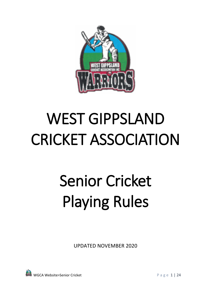

## WEST GIPPSLAND CRICKET ASSOCIATION

# Senior Cricket Playing Rules

UPDATED NOVEMBER 2020

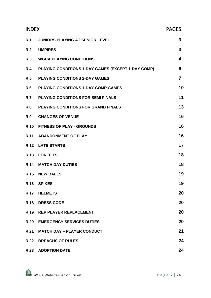| <b>INDEX</b> |                                                    | <b>PAGES</b>            |
|--------------|----------------------------------------------------|-------------------------|
|              | R1 JUNIORS PLAYING AT SENIOR LEVEL                 | 3                       |
| <b>R</b> 2   | <b>UMPIRES</b>                                     | 3                       |
|              | R 3 WGCA PLAYING CONDITIONS                        | $\overline{\mathbf{4}}$ |
| <b>R</b> 4   | PLAYING CONDITIONS 1-DAY GAMES (EXCEPT 1-DAY COMP) | 6                       |
| <b>R</b> 5   | <b>PLAYING CONDITIONS 2-DAY GAMES</b>              | $\overline{7}$          |
| <b>R6</b>    | <b>PLAYING CONDITIONS 1-DAY COMP GAMES</b>         | 10                      |
| <b>R</b> 7   | <b>PLAYING CONDITIONS FOR SEMI FINALS</b>          | 11                      |
| <b>R8</b>    | <b>PLAYING CONDITIONS FOR GRAND FINALS</b>         | 13                      |
|              | R 9 CHANGES OF VENUE                               | 16                      |
|              | R 10 FITNESS OF PLAY - GROUNDS                     | 16                      |
|              | R 11 ABANDONMENT OF PLAY                           | 16                      |
|              | R 12 LATE STARTS                                   | 17                      |
|              | R 13 FORFEITS                                      | 18                      |
|              | R 14 MATCH DAY DUTIES                              | 18                      |
|              | R 15 NEW BALLS                                     | 19                      |
|              | R 16 SPIKES                                        | 19                      |
| <b>R</b> 17  | <b>HELMETS</b>                                     | 20                      |
| <b>R</b> 18  | <b>DRESS CODE</b>                                  | 20                      |
|              | R 19 REP PLAYER REPLACEMENT                        | 20                      |
| <b>R</b> 20  | <b>EMERGENCY SERVICES DUTIES</b>                   | 20                      |
| R 21         | <b>MATCH DAY - PLAYER CONDUCT</b>                  | 21                      |
| <b>R</b> 22  | <b>BREACHS OF RULES</b>                            | 24                      |
|              | R 23 ADOPTION DATE                                 | 24                      |

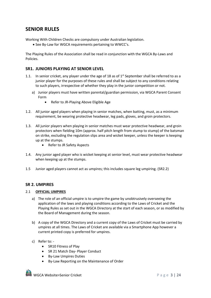## **SENIOR RULES**

Working With Children Checks are compulsory under Australian legislation.

• See By-Law for WGCA requirements pertaining to WWCC's.

The Playing Rules of the Association shall be read in conjunction with the WGCA By-Laws and Policies.

## **SR1. JUNIORS PLAYING AT SENIOR LEVEL**

- 1.1. In senior cricket, any player under the age of 18 as of  $1<sup>st</sup>$  September shall be referred to as a junior player for the purposes of these rules and shall be subject to any conditions relating to such players, irrespective of whether they play in the junior competition or not.
	- a) Junior players must have written parental/guardian permission, via WGCA Parent Consent Form
		- Refer to JR-Playing Above Eligible Age
- 1.2. All junior aged players when playing in senior matches, when batting, must, as a minimum requirement, be wearing protective headwear, leg pads, gloves, and groin protectors.
- 1.3. All junior players when playing in senior matches must wear protective headwear, and groin protectors when fielding 10m (approx. half pitch length from stump to stump) of the batsman on strike, excluding the regulation slips area and wicket keeper, unless the keeper is keeping up at the stumps.
	- Refer to JR Safety Aspects
- 1.4. Any junior aged player who is wicket keeping at senior level, must wear protective headwear when keeping up at the stumps.
- 1.5 Junior aged players cannot act as umpires; this includes square leg umpiring. (SR2.2)

## **SR 2. UMPIRES**

#### 2.1 **OFFICIAL UMPIRES**

- a) The role of an official umpire is to umpire the game by unobtrusively overseeing the application of the laws and playing conditions according to the Laws of Cricket and the Playing Rules as set out in the WGCA Directory at the start of each season, or as modified by the Board of Management during the season.
- b) A copy of the WGCA Directory and a current copy of the Laws of Cricket must be carried by umpires at all times. The Laws of Cricket are available via a Smartphone App however a current printed copy is preferred for umpires.
- c) Refer to:
	- SR10 Fitness of Play
	- SR 21 Match Day- Player Conduct
	- By-Law Umpires Duties
	- By-Law Reporting on the Maintenance of Order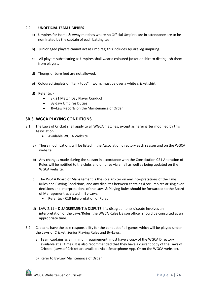#### 2.2 **UNOFFICIAL TEAM UMPIRES**

- a) Umpires for Home & Away matches where no Official Umpires are in attendance are to be nominated by the captain of each batting team
- b) Junior aged players cannot act as umpires; this includes square leg umpiring.
- c) All players substituting as Umpires shall wear a coloured jacket or shirt to distinguish them from players.
- d) Thongs or bare feet are not allowed.
- e) Coloured singlets or "tank tops" if worn, must be over a white cricket shirt.
- d) Refer to:
	- SR 21 Match Day Player Conduct
	- By-Law Umpires Duties
	- By-Law Reports on the Maintenance of Order

## **SR 3. WGCA PLAYING CONDITIONS**

- 3.1 The Laws of Cricket shall apply to all WGCA matches, except as hereinafter modified by this Association.
	- Available WGCA Website
	- a) These modifications will be listed in the Association directory each season and on the WGCA website.
	- b) Any changes made during the season in accordance with the Constitution C21 Alteration of Rules will be notified to the clubs and umpires via email as well as being updated on the WGCA website.
	- c) The WGCA Board of Management is the sole arbiter on any interpretations of the Laws, Rules and Playing Conditions, and any disputes between captains &/or umpires arising over decisions and interpretations of the Laws & Playing Rules should be forwarded to the Board of Management as stated in By-Laws.
		- Refer to: C19 Interpretation of Rules
	- d) LAW 2.11 DISAGREEMENT & DISPUTE: If a disagreement/ dispute involves an interpretation of the Laws/Rules, the WGCA Rules Liaison officer should be consulted at an appropriate time.
- 3.2 Captains have the sole responsibility for the conduct of all games which will be played under the Laws of Cricket, Senior Playing Rules and By-Laws.
	- a) Team captains as a minimum requirement, must have a copy of the WGCA Directory available at all times. It is also recommended that they have a current copy of the Laws of Cricket. (Laws of Cricket are available via a Smartphone App. Or on the WGCA website).
	- b) Refer to By-Law Maintenance of Order

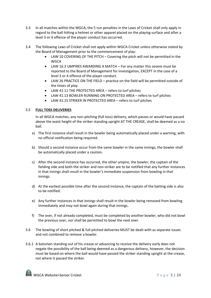- 3.3 In all matches within the WGCA, the 5 run penalties in the Laws of Cricket shall only apply in regard to the ball hitting a helmet or other apparel placed on the playing surface and after a level 3 or 4 offence of the player conduct has occurred.
- 3.4 The following Laws of Cricket shall not apply within WGCA Cricket unless otherwise stated by the Board of Management prior to the commencement of play:
	- LAW 10 COVERING OF THE PITCH Covering the pitch will not be permitted in the **WGCA**
	- LAW 16.3 UMPIRES AWARDING A MATCH For any matter this severe must be reported to the Board of Management for investigation, EXCEPT in the case of a level 3 or 4 offence of the player conduct.
	- LAW 26 PRACTICE ON THE FIELD practice on the field will be permitted outside of the times of play.
	- LAW 41.11 THE PROTECTED AREA refers to turf pitches
	- LAW 41.13 BOWLER RUNNING ON PROTECTED AREA refers to turf pitches
	- LAW 41.15 STRIKER IN PROTECTED AREA refers to turf pitches

## 3.5 **FULL TOSS DELIVERIES**

In all WGCA matches, any non-pitching (full toss) delivery, which passes or would have passed above the waist height of the striker standing upright AT THE CREASE, shall be deemed as a no ball.

- a) The first instance shall result in the bowler being automatically placed under a warning, with no official notification being required.
- b) Should a second instance occur from the same bowler in the same innings, the bowler shall be automatically placed under a caution.
- c) After the second instance has occurred, the other umpire, the bowler, the captain of the fielding side and both the striker and non-striker are to be notified that any further instances in that innings shall result in the bowler's immediate suspension from bowling in that innings.
- d) At the earliest possible time after the second instance, the captain of the batting side is also to be notified.
- e) Any further instances in that innings shall result in the bowler being removed from bowling immediately and may not bowl again during that innings.
- f) The over, if not already completed, must be completed by another bowler, who did not bowl the previous over, nor shall be permitted to bowl the next over.
- 3.6 The bowling of short pitched & full pitched deliveries MUST be dealt with as separate issues and not combined to remove a bowler.
- 3.6.1 A batsmen standing out of his crease or advancing to receive the delivery early does not negate the possibility of the ball being deemed as a dangerous delivery, however, the decision must be based on where the ball would have passed the striker standing upright at the crease, not where it passed the striker.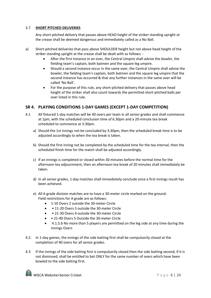## 3.7 **SHORT PITCHED DELIVERIES**

Any short-pitched delivery that passes above HEAD height of the striker standing upright at the crease shall be deemed dangerous and immediately called as a No Ball.

- a) Short-pitched deliveries that pass above SHOULDER height but not above head height of the striker standing upright at the crease shall be dealt with as follows: -
	- After the first instance in an over, the Central Umpire shall advise the bowler, the fielding team's captain, both batmen and the square leg umpire.
	- Should a second instance occur in the same over, the Central Umpire shall advise the bowler, the fielding team's captain, both batmen and the square leg umpire that the second instance has occurred & that any further instances in the same over will be called 'No Ball'.
	- For the purpose of this rule, any short-pitched delivery that passes above head height of the striker shall also count towards the permitted short-pitched balls per over listed in this rule.

## **SR 4. PLAYING CONDITIONS 1-DAY GAMES (EXCEPT 1-DAY COMPETITION)**

- 4.1 All fixtured 1-day matches will be 40 overs per team in all senior grades and shall commence at 1pm, with the scheduled conclusion time of 6.30pm and a 20-minute tea break scheduled to commence at 3:30pm.
	- a) Should the 1st innings not be concluded by 3:30pm, then the scheduled break time is to be adjusted accordingly to when the tea break is taken.
	- b) Should the first inning not be completed by the scheduled time for the tea interval, then the scheduled finish time for the match shall be adjusted accordingly.
	- c) If an innings is completed or closed within 30 minutes before the normal time for the afternoon tea adjournment, then an afternoon tea break of 20 minutes shall immediately be taken.
	- d) In all senior grades, 1-day matches shall immediately conclude once a first innings result has been achieved.
	- e) All A grade division matches are to have a 30-meter circle marked on the ground: Field restrictions for A grade are as follows:
		- 1-10 Overs 2 outside the 30-meter Circle
		- • 11-20 Overs 3 outside the 30-meter Circle
		- 21-30 Overs 4 outside the 30-meter Circle
		- • 21-40 Overs 5 Outside the 30-meter Circle
		- 4.1.5.b No more than 5 players are permitted on the leg side at any time during the innings Overs
- 4.2. In 1-day games, the innings of the side batting first shall be compulsorily closed at the completion of 40 overs for all senior grades.
- 4.3 If the innings of the side batting first is compulsorily closed then the side batting second, if it is not dismissed, shall be entitled to bat ONLY for the same number of overs which have been bowled to the side batting first.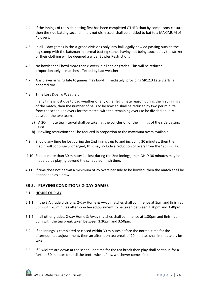- 4.4 If the innings of the side batting first has been completed OTHER than by compulsory closure then the side batting second, if it is not dismissed, shall be entitled to bat to a MAXIMUM of 40 overs.
- 4.5 In all 1-day games in the A-grade divisions only, any ball legally bowled passing outside the leg stump with the batsman in normal batting stance having not being touched by the striker or their clothing will be deemed a wide. Bowler Restrictions
- 4.6 No bowler shall bowl more than 8 overs in all senior grades. This will be reduced proportionately in matches affected by bad weather.
- 4.7 Any player arriving late to games may bowl immediately, providing SR12.3 Late Starts is adhered too.
- 4.8 Time Loss Due To Weather.

If any time is lost due to bad weather or any other legitimate reason during the first innings of the match, then the number of balls to be bowled shall be reduced by two per minute from the scheduled overs for the match, with the remaining overs to be divided equally between the two teams.

- a) A 20-minute tea interval shall be taken at the conclusion of the innings of the side batting first.
- b) Bowling restriction shall be reduced in proportion to the maximum overs available.
- 4.9 Should any time be lost during the 2nd innings up to and including 30 minutes, then the match will continue unchanged, this may include a reduction of overs from the 1st innings.
- 4.10 Should more than 30 minutes be lost during the 2nd innings, then ONLY 30 minutes may be made up by playing beyond the scheduled finish time.
- 4.11 If time does not permit a minimum of 25 overs per side to be bowled, then the match shall be abandoned as a draw.

## **SR 5. PLAYING CONDITIONS 2-DAY GAMES**

#### 5.1 **HOURS OF PLAY**

- 5.1.1 In the 3 A grade divisions, 2-day Home & Away matches shall commence at 1pm and finish at 6pm with 20 minutes afternoon tea adjournment to be taken between 3:20pm and 3.40pm.
- 5.1.2 In all other grades, 2-day Home & Away matches shall commence at 1:30pm and finish at 6pm with the tea break taken between 3:30pm and 3:50pm.
- 5.2 If an innings is completed or closed within 30 minutes before the normal time for the afternoon tea adjournment, then an afternoon tea break of 20 minutes shall immediately be taken.
- 5.3 If 9 wickets are down at the scheduled time for the tea break then play shall continue for a further 30 minutes or until the tenth wicket falls, whichever comes first.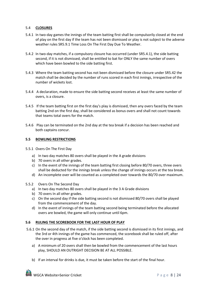#### 5.4 **CLOSURES**

- 5.4.1 In two-day games the innings of the team batting first shall be compulsorily closed at the end of play on the first day if the team has not been dismissed or play is not subject to the adverse weather rules SR5.9.1 Time Loss On The First Day Due To Weather.
- 5.4.2 In two-day matches, if a compulsory closure has occurred (under SR5.4.1), the side batting second, if it is not dismissed, shall be entitled to bat for ONLY the same number of overs which have been bowled to the side batting first.
- 5.4.3 Where the team batting second has not been dismissed before the closure under SR5.42 the match shall be decided by the number of runs scored in each first innings, irrespective of the number of wickets lost.
- 5.4.4 A declaration, made to ensure the side batting second receives at least the same number of overs, is a closure.
- 5.4.5 If the team batting first on the first day's play is dismissed, then any overs faced by the team batting 2nd on the first day, shall be considered as bonus overs and shall not count towards that teams total overs for the match.
- 5.4.6 Play can be terminated on the 2nd day at the tea break if a decision has been reached and both captains concur.

#### **5.5 BOWLING RESTRICTIONS**

- 5.5.1 Overs On The First Day
	- a) In two day matches 80 overs shall be played in the A grade divisions
	- b) 70 overs in all other grades.
	- c) In the event of the innings of the team batting first closing before 80/70 overs, three overs shall be deducted for the innings break unless the change of innings occurs at the tea break.
	- d) An incomplete over will be counted as a completed over towards the 80/70 over maximum.
- 5.5.2 Overs On The Second Day
	- a) In two day matches 80 overs shall be played in the 3 A Grade divisions
	- b) 70 overs In all other grades.
	- c) On the second day if the side batting second is not dismissed 80/70 overs shall be played from the commencement of the day.
	- d) In the event of innings of the team batting second being terminated before the allocated overs are bowled, the game will only continue until 6pm.

#### **5.6 RULING THE SCOREBOOK FOR THE LAST HOUR OF PLAY**

- 5.6.1 On the second day of the match, if the side batting second is dismissed in its first innings, and the 3rd or 4th innings of the game has commenced, the scorebook shall be ruled off, after the over in progress at five o'clock has been completed.
	- a) A minimum of 20 overs shall then be bowled from the commencement of the last hours play, SHOULD AN OUTRIGHT DECISION BE AT ALL POSSIBLE.
	- b) If an interval for drinks is due, it must be taken before the start of the final hour.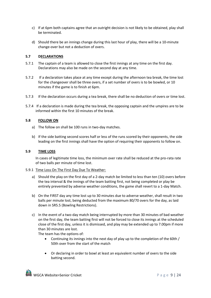- c) If at 6pm both captains agree that an outright decision is not likely to be obtained, play shall be terminated.
- d) Should there be an innings change during this last hour of play, there will be a 10-minute change-over but not a deduction of overs.

## **5.7 DECLARATIONS**

- 5.7.1 The captain of a team is allowed to close the first innings at any time on the first day. Declarations may also be made on the second day at any time.
- 5.7.2 If a declaration takes place at any time except during the afternoon tea break, the time lost for the changeover shall be three overs, if a set number of overs is to be bowled, or 10 minutes if the game is to finish at 6pm.
- 5.7.3 If the declaration occurs during a tea break, there shall be no deduction of overs or time lost.
- 5.7.4 If a declaration is made during the tea break, the opposing captain and the umpires are to be informed within the first 10 minutes of the break.

#### **5.8 FOLLOW ON**

- a) The follow on shall be 100 runs in two-day matches.
- b) If the side batting second scores half or less of the runs scored by their opponents, the side leading on the first innings shall have the option of requiring their opponents to follow on.

#### **5.9 TIME LOSS**

In cases of legitimate time loss, the minimum over rate shall be reduced at the pro-rata rate of two balls per minute of time lost.

#### 5.9.1 Time Loss On The First Day Due To Weather:

- a) Should the play on the first day of a 2-day match be limited to less than ten (10) overs before the tea interval & the innings of the team batting first, not being completed or play be entirely prevented by adverse weather conditions, the game shall revert to a 1-day Match.
- b) On the FIRST day any time lost up to 30 minutes due to adverse weather, shall result in two balls per minute lost, being deducted from the maximum 80/70 overs for the day, as laid down in SR5.5 (Bowling Restrictions).
- c) In the event of a two-day match being interrupted by more than 30 minutes of bad weather on the first day, the team batting first will not be forced to close its innings at the scheduled close of the first day, unless it is dismissed, and play may be extended up to 7.00pm if more than 30 minutes are lost.

The team has the options of:

- Continuing its innings into the next day of play up to the completion of the 60th / 50th over from the start of the match
- Or declaring in order to bowl at least an equivalent number of overs to the side batting second.

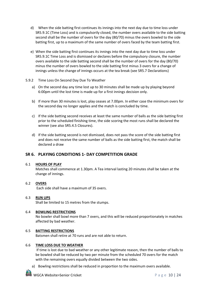- d) When the side batting first continues its innings into the next day due to time loss under SR5.9.1C (Time Loss) and is compulsorily closed, the number overs available to the side batting second shall be the number of overs for the day (80/70) minus the overs bowled to the side batting first, up to a maximum of the same number of overs faced by the team batting first.
- e) When the side batting first continues its innings into the next day due to time loss under SR5.9.1C Time Loss and is dismissed or declares before the compulsory closure, the number overs available to the side batting second shall be the number of overs for the day (80/70) minus the number of overs bowled to the side batting first minus 3 overs for a change of innings unless the change of innings occurs at the tea break (see SR5.7 Declarations)
- 5.9.2 Time Loss On Second Day Due To Weather
	- a) On the second day any time lost up to 30 minutes shall be made up by playing beyond 6:00pm until the lost time is made up for a first innings decision only.
	- b) If more than 30 minutes is lost, play ceases at 7.00pm. In either case the minimum overs for the second day no longer applies and the match is concluded by time.
	- c) If the side batting second receives at least the same number of balls as the side batting first prior to the scheduled finishing time, the side scoring the most runs shall be declared the winner (see also SR5.4.5 Closures).
	- d) If the side batting second is not dismissed, does not pass the score of the side batting first and does not receive the same number of balls as the side batting first, the match shall be declared a draw

## **SR 6. PLAYING CONDITIONS 1- DAY COMPETITION GRADE**

#### 6.1 **HOURS OF PLAY**

Matches shall commence at 1.30pm. A Tea interval lasting 20 minutes shall be taken at the change of innings.

## 6.2 **OVERS**

Each side shall have a maximum of 35 overs.

## 6.3 **RUN UPS**

Shall be limited to 15 metres from the stumps.

## 6.4 **BOWLING RESTRICTIONS**

No bowler shall bowl more than 7 overs, and this will be reduced proportionately in matches affected by bad weather.

## 6.5 **BATTING RESTRICTIONS**

Batsmen shall retire at 70 runs and are not able to return.

#### 6.6 **TIME LOSS DUE TO WEATHER**

If time is lost due to bad weather or any other legitimate reason, then the number of balls to be bowled shall be reduced by two per minute from the scheduled 70 overs for the match with the remaining overs equally divided between the two sides.

a) Bowling restrictions shall be reduced in proportion to the maximum overs available.

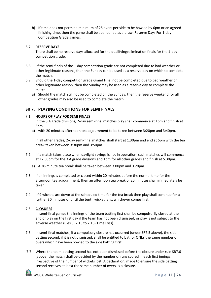b) If time does not permit a minimum of 25 overs per side to be bowled by 6pm or an agreed finishing time, then the game shall be abandoned as a draw. Reserve Days For 1-day Competition Grade games.

## 6.7 **RESERVE DAYS**

There shall be no reserve days allocated for the qualifying/elimination finals for the 1-day competition grade.

- 6.8 If the semi-finals of the 1-day competition grade are not completed due to bad weather or other legitimate reasons, then the Sunday can be used as a reserve day on which to complete the match.
- 6.9. Should the 1-day competition grade Grand Final not be completed due to bad weather or other legitimate reason, then the Sunday may be used as a reserve day to complete the match.
	- a) Should the match still not be completed on the Sunday, then the reserve weekend for all other grades may also be used to complete the match.

## **SR 7. PLAYING CONDITIONS FOR SEMI FINALS**

## 7.1 **HOURS OF PLAY FOR SEMI FINALS**

In the 3 A grade divisions, 2-day semi-final matches play shall commence at 1pm and finish at 6pm

a) with 20 minutes afternoon tea adjournment to be taken between 3:20pm and 3:40pm.

In all other grades, 2-day semi-final matches shall start at 1:30pm and end at 6pm with the tea break taken between 3:30pm and 3:50pm.

- 7.2 If a match takes place when daylight savings is not in operation; such matches will commence at 12.30pm for the 3 A grade divisions and 1pm for all other grades and finish at 5.30pm.
	- a) A 20-minute tea break shall be taken between 3.00pm and 3.20pm.
- 7.3 If an innings is completed or closed within 20 minutes before the normal time for the afternoon tea adjournment, then an afternoon tea break of 20 minutes shall immediately be taken.
- 7.4 If 9 wickets are down at the scheduled time for the tea break then play shall continue for a further 30 minutes or until the tenth wicket falls, whichever comes first.

## 7.5 **CLOSURES**

In semi-final games the innings of the team batting first shall be compulsorily closed at the end of play on the first day if the team has not been dismissed, or play is not subject to the adverse weather rules SR7.15 to 7.18 (Time Loss).

- 7.6 In semi-final matches, if a compulsory closure has occurred (under SR7.5 above), the side batting second, if it is not dismissed, shall be entitled to bat for ONLY the same number of overs which have been bowled to the side batting first.
- 7.7 Where the team batting second has not been dismissed before the closure under rule SR7.6 (above) the match shall be decided by the number of runs scored in each first innings, irrespective of the number of wickets lost. A declaration, made to ensure the side batting second receives at least the same number of overs, is a closure.

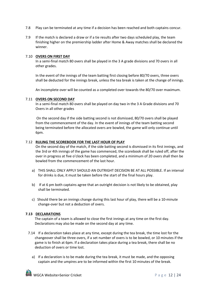- 7.8 Play can be terminated at any time if a decision has been reached and both captains concur.
- 7.9 If the match is declared a draw or if a tie results after two days scheduled play, the team finishing higher on the premiership ladder after Home & Away matches shall be declared the winner.

#### 7.10 **OVERS ON FIRST DAY**

In a semi-final match 80 overs shall be played in the 3 A grade divisions and 70 overs in all other grades.

In the event of the innings of the team batting first closing before 80/70 overs, three overs shall be deducted for the innings break, unless the tea break is taken at the change of innings.

An incomplete over will be counted as a completed over towards the 80/70 over maximum.

#### 7.11 **OVERS ON SECOND DAY**

In a semi-final match 80 overs shall be played on day two in the 3 A Grade divisions and 70 Overs in all other grades

On the second day if the side batting second is not dismissed, 80/70 overs shall be played from the commencement of the day. In the event of innings of the team batting second being terminated before the allocated overs are bowled, the game will only continue until 6pm.

#### 7.12 **RULING THE SCOREBOOK FOR THE LAST HOUR OF PLAY**

On the second day of the match, if the side batting second is dismissed in its first innings, and the 3rd or 4th innings of the game has commenced, the scorebook shall be ruled off, after the over in progress at five o'clock has been completed, and a minimum of 20 overs shall then be bowled from the commencement of the last hour.

- a) THIS SHALL ONLY APPLY SHOULD AN OUTRIGHT DECISION BE AT ALL POSSIBLE. If an interval for drinks is due, it must be taken before the start of the final hours play.
- b) If at 6 pm both captains agree that an outright decision is not likely to be obtained, play shall be terminated.
- c) Should there be an innings change during this last hour of play, there will be a 10-minute change-over but not a deduction of overs.

## **7.13 DECLARATIONS**

The captain of a team is allowed to close the first innings at any time on the first day. Declarations may also be made on the second day at any time.

- 7.14 If a declaration takes place at any time, except during the tea break, the time lost for the changeover shall be three overs, if a set number of overs is to be bowled, or 10 minutes if the game is to finish at 6pm. If a declaration takes place during a tea break, there shall be no deduction of overs or time lost.
	- a) If a declaration is to be made during the tea break, it must be made, and the opposing captain and the umpires are to be informed within the first 10 minutes of the break.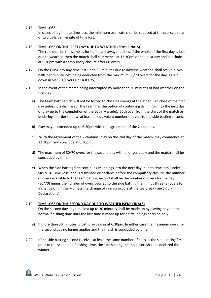#### 7.15 **TIME LOSS**

In cases of legitimate time loss, the minimum over rate shall be reduced at the pro-rata rate of two balls per minute of time lost.

#### 7.16 **TIME LOSS ON THE FIRST DAY DUE TO WEATHER (SEMI FINALS)**

- The rule shall be the same as for home and away matches. If the whole of the first day is lost due to weather, then the match shall commence at 12.30pm on the next day and conclude at 6.30pm with a compulsory closure after 60 overs.
- 7.17 On the FIRST day any time lost up to 30 minutes due to adverse weather, shall result in two balls per minute lost, being deducted from the maximum 80/70 overs for the day, as laid down in SR7.10 (Overs On First Day).
- 7.18 In the event of the match being interrupted by more than 30 minutes of bad weather on the first day:
	- a) The team batting first will not be forced to close its innings at the scheduled close of the first day unless it is dismissed. The team has the option of continuing its innings into the next day of play up to the completion of the 60th (A grade)/ 50th over from the start of the match or declaring in order to bowl at least an equivalent number of overs to the side batting second.
	- b) Play maybe extended up to 6.30pm with the agreement of the 2 captains.
	- c) With the agreement of the 2 captains, play on the 2nd day of the match, may commence at 12:30pm and conclude at 6:30pm
	- d) The maximum of 80/70 overs for the second day will no longer apply and the match shall be concluded by time.
	- e) When the side batting first continues its innings into the next day, due to time loss (under SR5.9.1C Time Loss) and is dismissed or declares before the compulsory closure, the number of overs available to the team batting second shall be the number of overs for the day (80/70) minus the number of overs bowled to the side batting first minus three (3) overs for a change of innings – unless the change of innings occurs at the tea break (see SR 5.7 Declarations)

#### 7.19 **TIME LOSS ON THE SECOND DAY DUE TO WEATHER (SEMI FINALS)**

On the second day any time lost up to 30 minutes shall be made up by playing beyond the normal finishing time until the lost time is made up for a first innings decision only.

- a) If more than 30 minutes is lost, play ceases at 6.30pm. In either case the maximum overs for the second day no longer applies and the match is concluded by time.
- 7.20. If the side batting second receives at least the same number of balls as the side batting first prior to the scheduled finishing time, the side scoring the most runs shall be declared the winner.

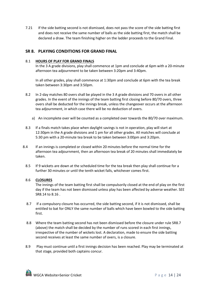7.21 If the side batting second is not dismissed, does not pass the score of the side batting first and does not receive the same number of balls as the side batting first, the match shall be declared a draw. The team finishing higher on the ladder proceeds to the Grand Final.

## **SR 8. PLAYING CONDITIONS FOR GRAND FINAL**

#### 8.1 **HOURS OF PLAY FOR GRAND FINALS**

In the 3 A grade divisions, play shall commence at 1pm and conclude at 6pm with a 20-minute afternoon tea adjournment to be taken between 3:20pm and 3:40pm.

In all other grades, play shall commence at 1:30pm and conclude at 6pm with the tea break taken between 3:30pm and 3:50pm.

- 8.2 In 2-day matches 80 overs shall be played in the 3 A grade divisions and 70 overs in all other grades. In the event of the innings of the team batting first closing before 80/70 overs, three overs shall be deducted for the innings break, unless the changeover occurs at the afternoon tea adjournment, in which case there will be no deduction of overs.
	- a) An incomplete over will be counted as a completed over towards the 80/70 over maximum.
- 8.3 If a finals match takes place when daylight savings is not in operation, play will start at 12:30pm in the A grade divisions and 1 pm for all other grades. All matches will conclude at 5:30 pm with a 20-minute tea break to be taken between 3:00pm and 3:20pm.
- 8.4 If an innings is completed or closed within 20 minutes before the normal time for the afternoon tea adjournment, then an afternoon tea break of 20 minutes shall immediately be taken.
	- 8.5 If 9 wickets are down at the scheduled time for the tea break then play shall continue for a further 30 minutes or until the tenth wicket falls, whichever comes first.

## 8.6 **CLOSURES**

The innings of the team batting first shall be compulsorily closed at the end of play on the first day if the team has not been dismissed unless play has been affected by adverse weather. SEE SR8.14 to 8.16 .

- 8.7 If a compulsory closure has occurred, the side batting second, if it is not dismissed, shall be entitled to bat for ONLY the same number of balls which have been bowled to the side batting first.
- 8.8 Where the team batting second has not been dismissed before the closure under rule SR8.7 (above) the match shall be decided by the number of runs scored in each first innings, irrespective of the number of wickets lost. A declaration, made to ensure the side batting second receives at least the same number of overs, is a closure.
- 8.9 Play must continue until a first innings decision has been reached. Play may be terminated at that stage, provided both captains concur.

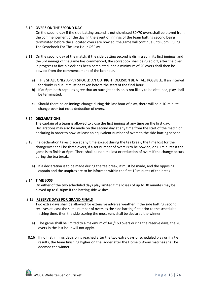#### 8.10 **OVERS ON THE SECOND DAY**

On the second day if the side batting second is not dismissed 80/70 overs shall be played from the commencement of the day. In the event of innings of the team batting second being terminated before the allocated overs are bowled, the game will continue until 6pm. Ruling The Scorebook For The Last Hour Of Play

- 8.11 On the second day of the match, if the side batting second is dismissed in its first innings, and the 3rd innings of the game has commenced, the scorebook shall be ruled off, after the over in progress at five o'clock has been completed, and a minimum of 20 overs shall then be bowled from the commencement of the last hour.
	- a) THIS SHALL ONLY APPLY SHOULD AN OUTRIGHT DECISION BE AT ALL POSSIBLE. If an interval for drinks is due, it must be taken before the start of the final hour.
	- b) If at 6pm both captains agree that an outright decision is not likely to be obtained, play shall be terminated.
	- c) Should there be an innings change during this last hour of play, there will be a 10-minute change-over but not a deduction of overs.

#### 8.12 **DECLARATIONS**

The captain of a team is allowed to close the first innings at any time on the first day. Declarations may also be made on the second day at any time from the start of the match or declaring in order to bowl at least an equivalent number of overs to the side batting second.

- 8.13 If a declaration takes place at any time except during the tea break, the time lost for the changeover shall be three overs, if a set number of overs is to be bowled, or 10 minutes if the game is to finish at 6pm. There shall be no time lost or reduction of overs if the change occurs during the tea break.
	- a) If a declaration is to be made during the tea break, it must be made, and the opposing captain and the umpires are to be informed within the first 10 minutes of the break.

#### 8.14 **TIME LOSS**

On either of the two scheduled days play limited time losses of up to 30 minutes may be played up to 6.30pm if the batting side wishes.

#### 8.15 **RESERVE DAYS FOR GRAND FINALS**

Two extra days shall be allowed for extensive adverse weather. If the side batting second receives at least the same number of overs as the side batting first prior to the scheduled finishing time, then the side scoring the most runs shall be declared the winner.

- a) The game shall be limited to a maximum of 140/160 overs during the reserve days, the 20 overs in the last hour will not apply.
- 8.16 If no first innings decision is reached after the two extra days of scheduled play or if a tie results, the team finishing higher on the ladder after the Home & Away matches shall be deemed the winner.

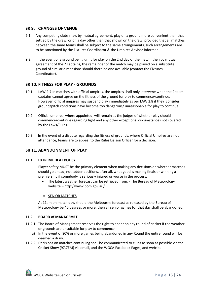## **SR 9. CHANGES OF VENUE**

- 9.1. Any competing clubs may, by mutual agreement, play on a ground more convenient than that settled by the draw, or on a day other than that shown on the draw, provided that all matches between the same teams shall be subject to the same arrangements, such arrangements are to be sanctioned by the Fixtures Coordinator & the Umpires Advisor informed.
- 9.2 In the event of a ground being unfit for play on the 2nd day of the match, then by mutual agreement of the 2 captains, the remainder of the match may be played on a substitute ground of similar dimensions should there be one available (contact the Fixtures Coordinator).

## **SR 10. FITNESS FOR PLAY - GROUNDS**

- 10.1 LAW 2.7 In matches with official umpires, the umpires shall only intervene when the 2 team captains cannot agree on the fitness of the ground for play to commence/continue. However, official umpires may suspend play immediately as per LAW 2.8 if they consider ground/pitch conditions have become too dangerous/ unreasonable for play to continue.
- 10.2 Official umpires; where appointed, will remain as the judges of whether play should commence/continue regarding light and any other exceptional circumstances not covered by the Laws/Rules.
- 10.3 In the event of a dispute regarding the fitness of grounds, where Official Umpires are not in attendance, teams are to appeal to the Rules Liaison Officer for a decision.

## **SR 11. ABANDONMENT OF PLAY**

#### 11.1 **EXTREME HEAT POLICY**

Player safety MUST be the primary element when making any decisions on whether matches should go ahead, not ladder positions, after all, what good is making finals or winning a premiership if somebody is seriously injured or worse in the process.

• The latest weather forecast can be retrieved from: - The Bureau of Meteorology website – http://www.bom.gov.au/

#### • SENIOR MATCHES

At 11am on match day, should the Melbourne forecast as released by the Bureau of Meteorology be 40 degrees or more, then all senior games for that day shall be abandoned.

#### 11.2 **BOARD of MANAGEMET**

- 11.2.1 The Board of Management reserves the right to abandon any round of cricket if the weather or grounds are unsuitable for play to commence.
	- a) In the event of 80% or more games being abandoned in any Round the entire round will be deemed a draw.
- 11.2.2 Decisions on matches continuing shall be communicated to clubs as soon as possible via the Cricket Show (97.7FM) via email, and the WGCA Facebook Pages, and website.

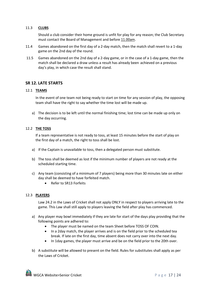#### 11.3 **CLUBS**

Should a club consider their home ground is unfit for play for any reason; the Club Secretary must contact the Board of Management and before 11.00am.

- 11.4 Games abandoned on the first day of a 2-day match, then the match shall revert to a 1-day game on the 2nd day of the round.
- 11.5 Games abandoned on the 2nd day of a 2-day game, or in the case of a 1-day game, then the match shall be declared a draw unless a result has already been achieved on a previous day's play, in which case the result shall stand.

## **SR 12. LATE STARTS**

#### 12.1 **TEAMS**

In the event of one team not being ready to start on time for any session of play, the opposing team shall have the right to say whether the time lost will be made up.

a) The decision is to be left until the normal finishing time; lost time can be made up only on the day occurring.

## 12.2 **THE TOSS**

If a team representative is not ready to toss, at least 15 minutes before the start of play on the first day of a match, the right to toss shall be lost.

- a) If the Captain is unavailable to toss, then a delegated person must substitute.
- b) The toss shall be deemed as lost if the minimum number of players are not ready at the scheduled starting time.
- c) Any team (consisting of a minimum of 7 players) being more than 30 minutes late on either day shall be deemed to have forfeited match.
	- Refer to SR13 Forfeits

#### 12.3 **PLAYERS**

Law 24.2 in the Laws of Cricket shall not apply ONLY in respect to players arriving late to the game. This Law shall still apply to players leaving the field after play has commenced.

- a) Any player may bowl immediately if they are late for start of the days play providing that the following points are adhered to:
	- The player must be named on the team Sheet before TOSS OF COIN.
	- In a 2day match, the player arrives and is on the field prior to the scheduled tea break. If late on the first day, time absent does not carry over into the next day.
	- In 1day games, the player must arrive and be on the field prior to the 20th over.
- b) A substitute will be allowed to present on the field. Rules for substitutes shall apply as per the Laws of Cricket.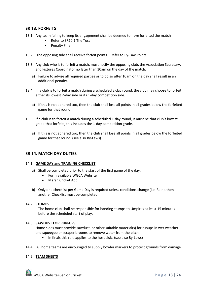## **SR 13. FORFEITS**

- 13.1. Any team failing to keep its engagement shall be deemed to have forfeited the match
	- Refer to SR10.1 The Toss
	- Penalty Fine
- 13.2 The opposing side shall receive forfeit points. Refer to By-Law Points
- 13.3 Any club who is to forfeit a match, must notify the opposing club, the Association Secretary, and Fixtures Coordinator no later than 10am on the day of the match.
	- a) Failure to advise all required parties or to do so after 10am on the day shall result in an additional penalty.
- 13.4 If a club is to forfeit a match during a scheduled 2-day round, the club may choose to forfeit either its lowest 2-day side or its 1-day competition side.
	- a) If this is not adhered too, then the club shall lose all points in all grades below the forfeited game for that round.
- 13.5 If a club is to forfeit a match during a scheduled 1-day round, it must be that club's lowest grade that forfeits, this includes the 1-day competition grade.
	- a) If this is not adhered too, then the club shall lose all points in all grades below the forfeited game for that round. (see also By-Laws)

## **SR 14. MATCH DAY DUTIES**

#### 14.1 **GAME DAY and TRAINING CHECKLIST**

- a) Shall be completed prior to the start of the first game of the day.
	- Form available WGCA Website
	- Marsh Cricket App
- b) Only one checklist per Game Day is required unless conditions change (i.e. Rain), then another Checklist must be completed.

#### 14.2 **STUMPS**

The home club shall be responsible for handing stumps to Umpires at least 15 minutes before the scheduled start of play.

#### 14.3 **SAWDUST FOR RUN-UPS**

Home sides must provide sawdust, or other suitable material(s) for runups in wet weather and squeegee or scraper brooms to remove water from the pitch.

- In finals this rule applies to the host club. (see also By-Laws)
- 14.4 All home teams are encouraged to supply bowler markers to protect grounds from damage.

## 14.5 **TEAM SHEETS**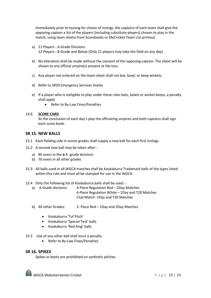Immediately prior to tossing for choice of innings, the captains of each team shall give the opposing captain a list of the players (including substitute players) chosen to play in the match, using team sheets from Scorebooks or MyCricket Team List printout.

- a) 11 Players A Grade Divisions 12 Players - B Grade and Below (Only 11 players may take the field on any day)
- b) No alteration shall be made without the consent of the opposing captain. The sheet will be shown to any official umpire(s) present at the toss.
- c) Any player not entered on the team sheet shall not bat, bowl, or keep wickets.
- d) Refer to SR20 Emergency Services Duties
- e) If a player who is ineligible to play under these rules bats, bowls or wicket keeps, a penalty shall apply
	- Refer to By-Law Fines/Penalties

#### 14.6 **SCORE CARD**

At the conclusion of each day's play the officiating umpires and both captains shall sign each score book.

#### **SR 15. NEW BALLS**

- 15.1 Each fielding side in senior grades shall supply a new ball for each first innings.
- 15.2 A second new ball may be taken after:
	- a) 80 overs in the 3 A -grade divisions
	- b) 70 overs in all other grades
- 15.3 All balls used in all WGCA matches shall be Kookaburra Trademark balls of the types listed within this rule and must all be stamped for use in the WGCA.

#### 15.4 Only the following list of Kookaburra balls shall be used: -

- a) A Grade divisions: 4-Piece Regulation Red 2Day Matches 4-Piece Regulation White – 1Day and T20 Matches Club Match- 1Day and T20 Matches
- b) All other Grades: 2- Piece Red 1Day and 2Day Matches
	- Kookaburra 'Tuf Pitch'
	- Kookaburra 'Special Test' balls
	- Kookaburra 'Red King' balls
- 15.5 Use of any other ball shall incur a penalty
	- Refer to By-Law Fines/Penalties

## **SR 16. SPIKES**

Spikes in boots are prohibited on synthetic pitches.

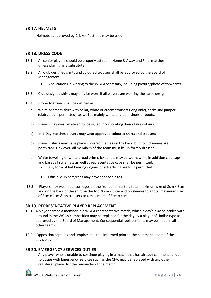## **SR 17. HELMETS**

Helmets as approved by Cricket Australia may be used.

## **SR 18. DRESS CODE**

- 18.1 All senior players should be properly attired in Home & Away and Final matches, unless playing as a substitute.
- 18.2 All Club designed shirts and coloured trousers shall be approved by the Board of Management.
	- Applications in writing to the WGCA Secretary, including picture/photo of top/pants
- 18.3 Club designed shirts may only be worn if all players are wearing the same design
- 18.4 Properly attired shall be defined as:
	- a) White or cream shirt with collar, white or cream trousers (long only), socks and jumper (club colours permitted), as well as mainly white or cream shoes or boots.
	- b) Players may wear white shirts designed incorporating their club's colours.
	- c) In 1-Day matches players may wear approved coloured shirts and trousers
	- d) Players' shirts may have players' correct names on the back, but no nicknames are permitted. However, all members of the team must be uniformly dressed.
	- e) White towelling or white broad brim cricket hats may be worn, while in addition club caps, and baseball style hats as well as representative caps shall be permitted.
		- Any form of hat bearing slogans or advertising are NOT permitted.
		- Official club hats/caps may have sponsor logos.
- 18.5 Players may wear sponsor logos on the front of shirts to a total maximum size of 8cm x 8cm and on the back of the shirt on the top 20cm x 8 cm and on sleeves to a total maximum size of 8cm x 4cm & on trousers to a maximum of 8cm x 4cm.

## **SR 19. REPRESENTATIVE PLAYER REPLACEMENT**

- 19.1 A player named a member in a WGCA representative match, which a day's play coincides with a round in the WGCA competition may be replaced for the day by a player of similar type as approved by the Board of Management. Consequential replacements may be made in all other teams.
- 19.2 Opposition captains and umpires must be informed prior to the commencement of the day's play.

## **SR 20. EMERGENCY SERVICES DUTIES**

Any player who is unable to continue playing in a match that has already commenced, due to duties with Emergency Services such as the CFA, may be replaced with any other registered player for the remainder of the match.

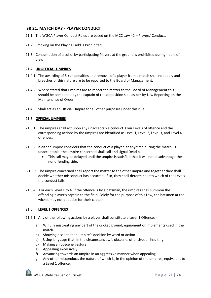## **SR 21. MATCH DAY - PLAYER CONDUCT**

- 21.1 The WGCA Player Conduct Rules are based on the MCC Law 42 Players' Conduct.
- 21.2 Smoking on the Playing Field is Prohibited
- 21.3 Consumption of alcohol by participating Players at the ground is prohibited during hours of play.

#### 21.4 **UNOFFICIAL UMPIRES**

- 21.4.1 The awarding of 5-run penalties and removal of a player from a match shall not apply and breaches of this nature are to be reported to the Board of Management.
- 21.4.2 Where stated that umpires are to report the matter to the Board of Management this should be completed by the captain of the opposition side as per By-Law Reporting on the Maintenance of Order
- 21.4.3 Shall act as an Official Umpire for all other purposes under this rule.

#### 21.5 **OFFICIAL UMPIRES**

- 21.5.1 The umpires shall act upon any unacceptable conduct. Four Levels of offence and the corresponding actions by the umpires are identified as Level 1, Level 2, Level 3, and Level 4 offences.
- 21.5.2 If either umpire considers that the conduct of a player, at any time during the match, is unacceptable, the umpire concerned shall call and signal Dead ball.
	- This call may be delayed until the umpire is satisfied that it will not disadvantage the nonoffending side.
- 21.5.3 The umpire concerned shall report the matter to the other umpire and together they shall decide whether misconduct has occurred. If so, they shall determine into which of the Levels the conduct falls.
- 21.5.4 For each Level 1 to 4, if the offence is by a batsman, the umpires shall summon the offending player's captain to the field. Solely for the purpose of this Law, the batsmen at the wicket may not deputise for their captain.

## 21.6 **LEVEL 1 OFFENCES**

- 21.6.1 Any of the following actions by a player shall constitute a Level 1 Offence:
	- a) Wilfully mistreating any part of the cricket ground, equipment or implements used in the match.
	- b) Showing dissent at an umpire's decision by word or action.
	- c) Using language that, in the circumstances, is obscene, offensive, or insulting.
	- d) Making an obscene gesture.
	- e) Appealing excessively.
	- f) Advancing towards an umpire in an aggressive manner when appealing
	- g) Any other misconduct, the nature of which is, in the opinion of the umpires, equivalent to a Level 1 offence.

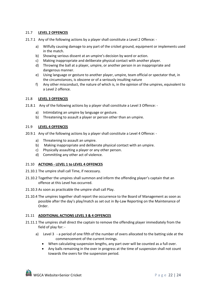## 21.7 **LEVEL 2 OFFENCES**

- 21.7.1 Any of the following actions by a player shall constitute a Level 2 Offence:
	- a) Wilfully causing damage to any part of the cricket ground, equipment or implements used in the match.
	- b) Showing serious dissent at an umpire's decision by word or action.
	- c) Making inappropriate and deliberate physical contact with another player.
	- d) Throwing the ball at a player, umpire, or another person in an inappropriate and dangerous manner.
	- e) Using language or gesture to another player, umpire, team official or spectator that, in the circumstances, is obscene or of a seriously insulting nature
	- f) Any other misconduct, the nature of which is, in the opinion of the umpires, equivalent to a Level 2 offence.

## 21.8 **LEVEL 3 OFFENCES**

- 21.8.1 Any of the following actions by a player shall constitute a Level 3 Offence:
	- a) Intimidating an umpire by language or gesture.
	- b) Threatening to assault a player or person other than an umpire.

#### 21.9 **LEVEL 4 OFFENCES**

- 20.9.1 Any of the following actions by a player shall constitute a Level 4 Offence:
	- a) Threatening to assault an umpire.
	- b) Making inappropriate and deliberate physical contact with an umpire.
	- c) Physically assaulting a player or any other person.
	- d) Committing any other act of violence.

## 21.10 **ACTIONS - LEVEL 1 to LEVEL 4 OFFENCES**

- 21.10.1 The umpire shall call Time, if necessary.
- 21.10.2 Together the umpires shall summon and inform the offending player's captain that an offence at this Level has occurred.
- 21.10.3 As soon as practicable the umpire shall call Play.
- 21.10.4 The umpires together shall report the occurrence to the Board of Management as soon as possible after the day's play/match as set out in By-Law Reporting on the Maintenance of Order.

## 21.11 **ADDITIONAL ACTIONS LEVEL 3 & 4 OFFENCES**

- 21.11.1 The umpires shall direct the captain to remove the offending player immediately from the field of play for:
	- a) Level 3 a period of one fifth of the number of overs allocated to the batting side at the commencement of the current innings.
		- When calculating suspension lengths, any part over will be counted as a full over.
		- Any balls remaining in the over in progress at the time of suspension shall not count towards the overs for the suspension period.

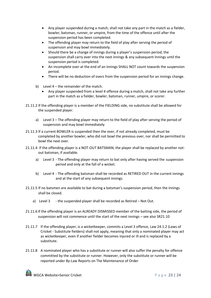- Any player suspended during a match, shall not take any part in the match as a fielder, bowler, batsman, runner, or umpire, from the time of the offence until after the suspension period has been completed.
- The offending player may return to the field of play after serving the period of suspension and may bowl immediately.
- Should there be a change of innings during a player's suspension period, the suspension shall carry over into the next innings & any subsequent Innings until the suspension period is completed.
- An incomplete over at the end of an innings SHALL NOT count towards the suspension period.
- There will be no deduction of overs from the suspension period for an innings change.
- b) Level 4 the remainder of the match.
	- Any player suspended from a level 4 offence during a match, shall not take any further part in the match as a fielder, bowler, batsman, runner, umpire, or scorer.
- 21.11.2 If the offending player is a member of the FIELDING side, no substitute shall be allowed for the suspended player.
	- a) Level 3 The offending player may return to the field of play after serving the period of suspension and may bowl immediately
- 21.11.3 If a current BOWLER is suspended then the over, if not already completed, must be completed by another bowler, who did not bowl the previous over, nor shall be permitted to bowl the next over.
- 21.11.4 If the offending player is a NOT-OUT BATSMAN, the player shall be replaced by another notout batsman, if available.
	- a) Level 3 The offending player may return to bat only after having served the suspension period and only at the fall of a wicket.
	- b) Level 4 The offending batsman shall be recorded as RETIRED OUT in the current innings and at the start of any subsequent innings.
- 21.11.5 If no batsmen are available to bat during a batsman's suspension period, then the innings shall be closed.
	- a) Level 3 the suspended player shall be recorded as Retired Not Out.
- 21.11.6 If the offending player is an ALREADY DISMISSED member of the batting side, the period of suspension will not commence until the start of the next innings – see also SR21.10
- 21.11.7 If the offending player, is a wicketkeeper, commits a Level 3 offence, Law 24.1.2 (Laws of Cricket - Substitute fielders) shall not apply, meaning that only a nominated player may act as wicketkeeper, even if another fielder becomes injured or ill and is replaced by a substitute.
- 21.11.8 A nominated player who has a substitute or runner will also suffer the penalty for offence committed by the substitute or runner. However, only the substitute or runner will be reported under By-Law Reports on The Maintenance of Order